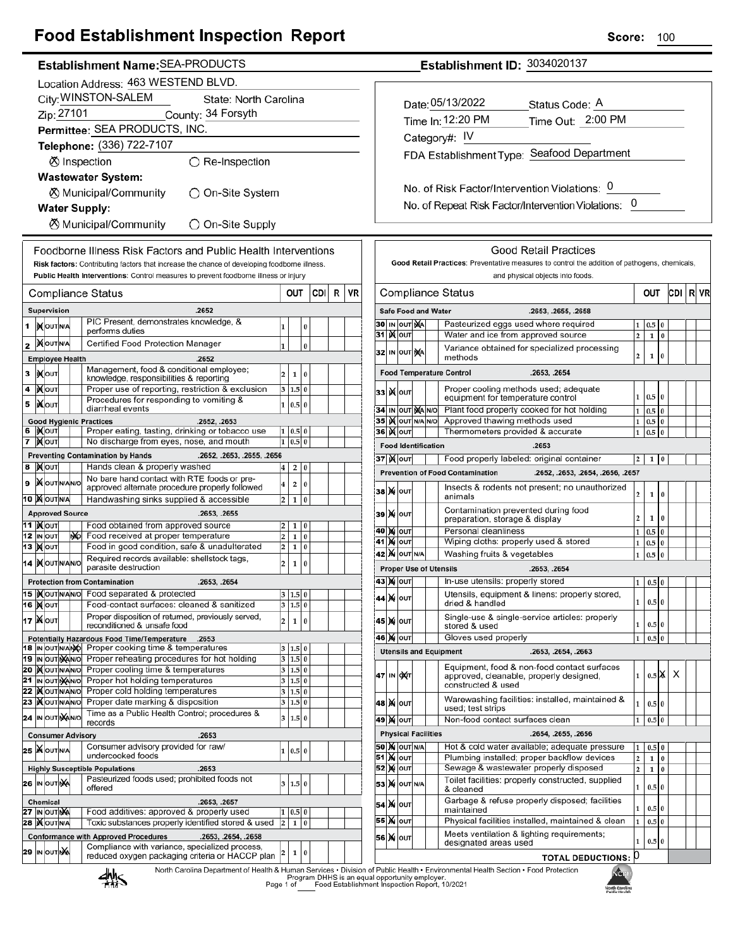## **Food Establishment Inspection Report**

### Establishment Name: SEA-PRODUCTS

|        | Location Address: 463 WESTEND BLVD.                            |                                   |     |                                                                                                   |                         |                |          |      |   |    |  |
|--------|----------------------------------------------------------------|-----------------------------------|-----|---------------------------------------------------------------------------------------------------|-------------------------|----------------|----------|------|---|----|--|
|        | City: WINSTON-SALEM<br>State: North Carolina                   |                                   |     |                                                                                                   |                         |                |          |      |   |    |  |
|        | Zip: 27101<br>County: 34 Forsyth                               |                                   |     |                                                                                                   |                         |                |          |      |   |    |  |
|        | Permittee: SEA PRODUCTS, INC.                                  |                                   |     |                                                                                                   |                         |                |          |      |   |    |  |
|        |                                                                |                                   |     | Telephone: (336) 722-7107                                                                         |                         |                |          |      |   |    |  |
|        |                                                                |                                   |     | ⊗ Inspection<br>$\bigcirc$ Re-Inspection                                                          |                         |                |          |      |   |    |  |
|        |                                                                |                                   |     | <b>Wastewater System:</b>                                                                         |                         |                |          |      |   |    |  |
|        |                                                                |                                   |     | <b><math>\oslash</math> Municipal/Community</b><br>◯ On-Site System                               |                         |                |          |      |   |    |  |
|        | <b>Water Supply:</b>                                           |                                   |     |                                                                                                   |                         |                |          |      |   |    |  |
|        | ⊗ Municipal/Community<br>$\bigcirc$ On-Site Supply             |                                   |     |                                                                                                   |                         |                |          |      |   |    |  |
|        | Foodborne Illness Risk Factors and Public Health Interventions |                                   |     |                                                                                                   |                         |                |          |      |   |    |  |
|        |                                                                |                                   |     | Risk factors: Contributing factors that increase the chance of developing foodborne illness.      |                         |                |          |      |   |    |  |
|        |                                                                |                                   |     | Public Health Interventions: Control measures to prevent foodborne illness or injury              |                         |                |          |      |   |    |  |
|        |                                                                |                                   |     | Compliance Status                                                                                 |                         | OUT            |          | CDII | R | VR |  |
|        |                                                                | Supervision                       |     | .2652                                                                                             |                         |                |          |      |   |    |  |
| 1      |                                                                | IX OUT N/A                        |     | PIC Present, demonstrates knowledge, &<br>performs duties                                         | 1                       |                | 0        |      |   |    |  |
| 2      |                                                                | <b>KOUTNA</b>                     |     | Certified Food Protection Manager                                                                 | $\mathbf{1}$            |                | $\bf{0}$ |      |   |    |  |
|        |                                                                | <b>Employee Health</b>            |     | .2652                                                                                             |                         |                |          |      |   |    |  |
| 3      |                                                                | <b>IX</b> OUT                     |     | Management, food & conditional employee;<br>knowledge, responsibilities & reporting               | $\overline{\mathbf{c}}$ | 1              | 0        |      |   |    |  |
| 4      |                                                                | јХ∣оυт                            |     | Proper use of reporting, restriction & exclusion                                                  | 3                       | 1.5 0          |          |      |   |    |  |
| 5      |                                                                | liXlouт                           |     | Procedures for responding to vomiting &<br>diarrheal events                                       | 1                       | 0.5 0          |          |      |   |    |  |
|        |                                                                |                                   |     | <b>Good Hygienic Practices</b><br>.2652, .2653                                                    |                         |                |          |      |   |    |  |
| 6<br>7 |                                                                | I)X∣ou⊤<br><b>IX</b> OUT          |     | Proper eating, tasting, drinking or tobacco use<br>No discharge from eyes, nose, and mouth        | 1<br>1                  | 0.5 0<br>0.5   | 0        |      |   |    |  |
|        |                                                                |                                   |     | <b>Preventing Contamination by Hands</b><br>.2652, .2653, .2655, .2656                            |                         |                |          |      |   |    |  |
| 8      |                                                                | <b>XOUT</b>                       |     | Hands clean & properly washed                                                                     | 4                       | 2              | 0        |      |   |    |  |
| 9      |                                                                | <b>X</b> OUTINANO                 |     | No bare hand contact with RTE foods or pre-<br>approved alternate procedure properly followed     | 4                       | 2              | 0        |      |   |    |  |
|        |                                                                | 10 X OUTNA                        |     | Handwashing sinks supplied & accessible                                                           | 2                       | 1              | 0        |      |   |    |  |
|        |                                                                | <b>Approved Source</b>            |     | .2653, .2655                                                                                      |                         |                |          |      |   |    |  |
|        |                                                                | 11  ) <b>(</b> ouт<br>12 IN OUT   |     | Food obtained from approved source<br>Food received at proper temperature                         | 2                       | 1              | 0        |      |   |    |  |
|        |                                                                | 13   <b>)(</b>  оит               | NO. | Food in good condition, safe & unadulterated                                                      | 2<br>2                  | 1<br>1         | 0<br>0   |      |   |    |  |
|        |                                                                | 14  )(OUTN/AN/O                   |     | Required records available: shellstock tags,                                                      | 2                       | 1              | 0        |      |   |    |  |
|        |                                                                |                                   |     | parasite destruction<br><b>Protection from Contamination</b><br>.2653, .2654                      |                         |                |          |      |   |    |  |
|        |                                                                | 15  ) OUTNANO                     |     | Food separated & protected                                                                        |                         | 1.5 0          |          |      |   |    |  |
|        |                                                                | 16 <b>Mout</b>                    |     | Food-contact surfaces: cleaned & sanitized                                                        |                         | 3 1.5 0        |          |      |   |    |  |
|        |                                                                | 17 <b>Мо</b> ит                   |     | Proper disposition of returned, previously served,<br>reconditioned & unsafe food                 | 2                       | 1              | 0        |      |   |    |  |
|        |                                                                |                                   |     | <b>Potentially Hazardous Food Time/Temperature</b><br>.2653                                       |                         |                |          |      |   |    |  |
|        |                                                                | 18 IN OUT N/ANO<br>19 IN OUT NANO |     | Proper cooking time & temperatures<br>Proper reheating procedures for hot holding                 | 3<br>3                  | 1.5 0<br>1.5 0 |          |      |   |    |  |
|        |                                                                | 20 MOUTNANO                       |     | Proper cooling time & temperatures                                                                | 3                       | 1.5 0          |          |      |   |    |  |
|        |                                                                | 21 IN OUT NANO                    |     | Proper hot holding temperatures                                                                   | 3                       | 1.5 0          |          |      |   |    |  |
|        |                                                                | 22  )(OUTNANO<br>23   OUTNANO     |     | Proper cold holding temperatures<br>Proper date marking & disposition                             | 3<br>3                  | 1.5 0<br>1.5 0 |          |      |   |    |  |
|        |                                                                | 24 IN OUT NANO                    |     | Time as a Public Health Control; procedures &                                                     | 3                       | 1.5 0          |          |      |   |    |  |
|        |                                                                | <b>Consumer Advisory</b>          |     | records<br>.2653                                                                                  |                         |                |          |      |   |    |  |
|        |                                                                | 25 WOUTNA                         |     | Consumer advisory provided for raw/                                                               | 1                       | 0.5 0          |          |      |   |    |  |
|        |                                                                |                                   |     | undercooked foods                                                                                 |                         |                |          |      |   |    |  |
|        |                                                                |                                   |     | <b>Highly Susceptible Populations</b><br>.2653<br>Pasteurized foods used; prohibited foods not    |                         |                |          |      |   |    |  |
|        |                                                                | <b>26 IN OUT NA</b>               |     | offered                                                                                           | 3                       | 1.5 0          |          |      |   |    |  |
|        |                                                                | Chemical<br><b>27 IN OUT NA</b>   |     | .2653, .2657<br>Food additives: approved & properly used                                          | 1                       | 0.5 0          |          |      |   |    |  |
|        |                                                                | 28   OUTNA                        |     | Toxic substances properly identified stored & used                                                | $\overline{\mathbf{c}}$ | 1              | 0        |      |   |    |  |
|        |                                                                |                                   |     | <b>Conformance with Approved Procedures</b><br>.2653, .2654, .2658                                |                         |                |          |      |   |    |  |
|        |                                                                | 29 IN OUT NA                      |     | Compliance with variance, specialized process,<br>reduced oxygen packaging criteria or HACCP plan | 2                       | 1              | 0        |      |   |    |  |
|        |                                                                |                                   |     |                                                                                                   |                         |                |          |      |   |    |  |

Establishment ID: 3034020137

| Date: 05/13/2022                           | Status Code: A    |
|--------------------------------------------|-------------------|
| Time In: 12:20 PM                          | Time Out: 2:00 PM |
| Category#: $IV$                            |                   |
| FDA Establishment Type: Seafood Department |                   |
|                                            |                   |
|                                            |                   |

No. of Risk Factor/Intervention Violations: 0 No. of Repeat Risk Factor/Intervention Violations: 0

|    |    | Compliance Status                                                         |     | OUT                        |                                                                                                              | CDI                      | R            | VR       |   |  |  |
|----|----|---------------------------------------------------------------------------|-----|----------------------------|--------------------------------------------------------------------------------------------------------------|--------------------------|--------------|----------|---|--|--|
|    |    |                                                                           |     | <b>Safe Food and Water</b> | .2653, .2655, .2658                                                                                          |                          |              |          |   |  |  |
| 30 |    | IN OUT NA                                                                 |     |                            | Pasteurized eggs used where required                                                                         | 1                        | 0.5          | 0        |   |  |  |
| 31 | x  | OUT                                                                       |     |                            | Water and ice from approved source                                                                           | $\overline{\mathbf{c}}$  | 1            | $\bf{0}$ |   |  |  |
| 32 | IN | OUT                                                                       | ŊА  |                            | Variance obtained for specialized processing<br>methods                                                      | $\overline{2}$           | 1            | $\bf{0}$ |   |  |  |
|    |    |                                                                           |     |                            | <b>Food Temperature Control</b><br>.2653, .2654                                                              |                          |              |          |   |  |  |
| 33 | M  | OUT                                                                       |     |                            | Proper cooling methods used; adequate<br>0.5<br>1<br>$\overline{0}$<br>equipment for temperature control     |                          |              |          |   |  |  |
| 34 | IN | OUT                                                                       |     | <b>MANO</b>                | Plant food properly cooked for hot holding                                                                   | $\mathbf{1}$             | 0.5          | 0        |   |  |  |
| 35 |    | <b>K</b> lout                                                             | N/A | N/O                        | Approved thawing methods used                                                                                | 1                        | 0.5          | $\bf{0}$ |   |  |  |
|    |    | <b>36∣ )(</b> ∣о∪т                                                        |     |                            | Thermometers provided & accurate                                                                             | 1                        | 0.5          | 0        |   |  |  |
|    |    |                                                                           |     | <b>Food Identification</b> | .2653                                                                                                        |                          |              |          |   |  |  |
|    |    | 37  ) <b>X</b>  оυт                                                       |     |                            | Food properly labeled: original container                                                                    | 2                        | 1            | 0        |   |  |  |
|    |    |                                                                           |     |                            | <b>Prevention of Food Contamination</b><br>.2652, .2653, .2654, .2656, .2657                                 |                          |              |          |   |  |  |
| 38 | M  | OUT                                                                       |     |                            | Insects & rodents not present; no unauthorized<br>animals                                                    | $\overline{2}$           | 1            | 0        |   |  |  |
| 39 |    | <b>M</b> OUT                                                              |     |                            | Contamination prevented during food<br>preparation, storage & display                                        | 2                        | 1            | 0        |   |  |  |
| 40 |    | <b>X</b> OUT                                                              |     |                            | Personal cleanliness                                                                                         | 1                        | 0.5          | 0        |   |  |  |
| 41 | M  | OUT                                                                       |     |                            | Wiping cloths: properly used & stored                                                                        | 1                        | 0.5          | 0        |   |  |  |
|    |    | <b>42 M</b> OUT N/A                                                       |     |                            | Washing fruits & vegetables                                                                                  | 1                        | 0.5          | 0        |   |  |  |
|    |    |                                                                           |     |                            | <b>Proper Use of Utensils</b><br>.2653, .2654                                                                |                          |              |          |   |  |  |
|    |    | 43   X   оит                                                              |     |                            | In-use utensils: properly stored                                                                             |                          |              | 0        |   |  |  |
| 44 | M  | lout                                                                      |     |                            | Utensils, equipment & linens: properly stored,<br>dried & handled                                            | 1                        | 0.5 0        |          |   |  |  |
| 45 | M  | OUT                                                                       |     |                            | Single-use & single-service articles: properly<br>$\bf{0}$<br>1<br>0.5<br>stored & used                      |                          |              |          |   |  |  |
|    |    | 46  )X   ouт                                                              |     |                            | Gloves used properly                                                                                         | 1                        | 0.5          | 0        |   |  |  |
|    |    |                                                                           |     |                            | <b>Utensils and Equipment</b><br>.2653, .2654, .2663                                                         |                          |              |          |   |  |  |
| 47 | IN | ОХТ                                                                       |     |                            | Equipment, food & non-food contact surfaces<br>approved, cleanable, properly designed,<br>constructed & used | 1                        | $0.5$ $\chi$ |          | х |  |  |
|    |    | 48   Χ  Ιουτ                                                              |     |                            | Warewashing facilities: installed, maintained &<br>0.5<br>$\bf{0}$<br>1<br>used; test strips                 |                          |              |          |   |  |  |
|    |    | 49   Χ  Ιουτ                                                              |     |                            | Non-food contact surfaces clean                                                                              | $\mathbf{1}$             | 0.5          | $\Omega$ |   |  |  |
|    |    |                                                                           |     | <b>Physical Facilities</b> | .2654, .2655, .2656                                                                                          |                          |              |          |   |  |  |
|    |    | 50   M OUT N/A                                                            |     |                            | Hot & cold water available; adequate pressure                                                                | 1                        | 0.5          | $\bf{0}$ |   |  |  |
| 51 |    | <b>X</b> OUT                                                              |     |                            | Plumbing installed; proper backflow devices                                                                  | $\overline{2}$<br>0<br>1 |              |          |   |  |  |
| 52 |    | <b>X</b> OUT                                                              |     |                            | Sewage & wastewater properly disposed<br>$\overline{2}$<br>1<br>0                                            |                          |              |          |   |  |  |
| 53 | M  | OUT N/A                                                                   |     |                            | Toilet facilities: properly constructed, supplied<br>1<br>0.5<br>0<br>& cleaned                              |                          |              |          |   |  |  |
| 54 | M  | OUT                                                                       |     |                            | Garbage & refuse properly disposed; facilities<br>maintained                                                 | 1                        | 0.5          | $\bf{0}$ |   |  |  |
|    |    | Physical facilities installed, maintained & clean<br>OUT<br>1<br>0.5<br>0 |     |                            |                                                                                                              |                          |              |          |   |  |  |
| 55 | M  |                                                                           |     |                            |                                                                                                              |                          |              |          |   |  |  |

North Carolina Department of Health & Human Services . Division of Public Health . Environmental Health Section . Food Protection<br>Program DHHS is an equal opportunity employer.<br>Food Establishment Inspection Report, 10/2021

Г

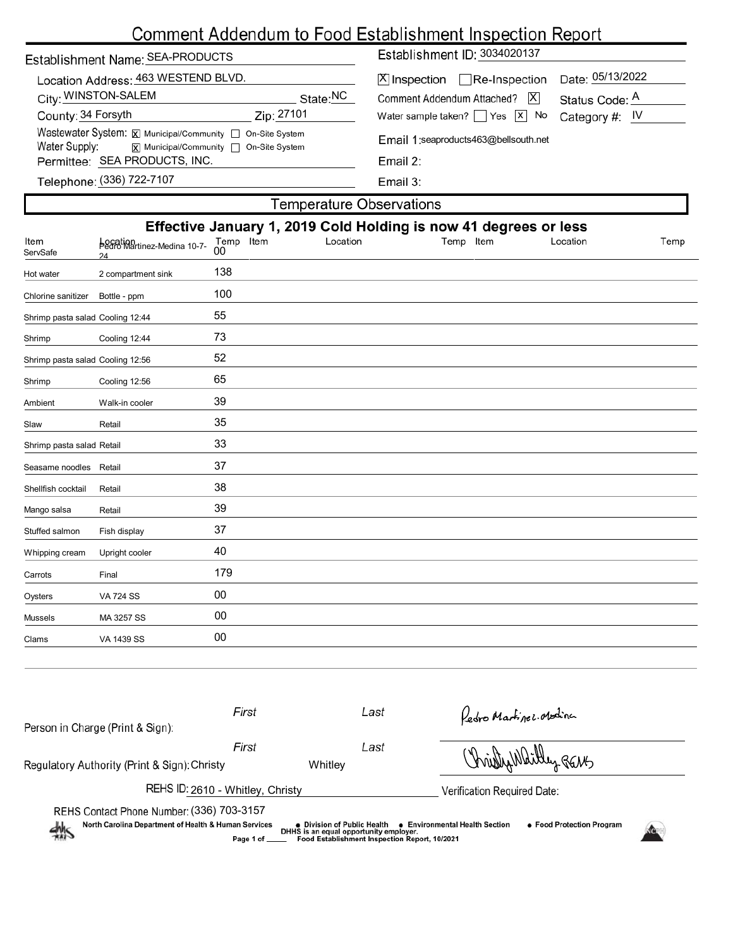# Comment Addendum to Food Establishment Inspection Report

| Establishment Name: SEA-PRODUCTS                                                                                            | Establishment ID: 3034020137                                                                                              |  |  |  |  |
|-----------------------------------------------------------------------------------------------------------------------------|---------------------------------------------------------------------------------------------------------------------------|--|--|--|--|
| Location Address: 463 WESTEND BLVD.<br>City: WINSTON-SALEM<br>State:NC                                                      | Date: 05/13/2022<br>$ \mathsf{X} $ Inspection $\Box$ Re-Inspection<br> X <br>Comment Addendum Attached?<br>Status Code: A |  |  |  |  |
| County: 34 Forsyth<br>Zip: 27101                                                                                            | Water sample taken? $\Box$ Yes $\Box$ No<br>Category #: $IV$                                                              |  |  |  |  |
| Wastewater System: X Municipal/Community   On-Site System<br>Water Supply:<br><b>x</b> Municipal/Community □ On-Site System | Email 1:seaproducts463@bellsouth.net<br>Email 2:<br>Email $3:$                                                            |  |  |  |  |
| Permittee: SEA PRODUCTS, INC.                                                                                               |                                                                                                                           |  |  |  |  |
| Telephone: (336) 722-7107                                                                                                   |                                                                                                                           |  |  |  |  |
| Tamnaratura Ahearvatione                                                                                                    |                                                                                                                           |  |  |  |  |

|                                  |                                               |                             | <b>I GITIDEI QUILE ODSEI VALIOITS</b> |                                                                  |          |      |
|----------------------------------|-----------------------------------------------|-----------------------------|---------------------------------------|------------------------------------------------------------------|----------|------|
|                                  |                                               |                             |                                       | Effective January 1, 2019 Cold Holding is now 41 degrees or less |          |      |
| Item<br>ServSafe                 | Location<br>Pedro Martinez-Medina 10-7-<br>24 | Temp Item<br>0 <sub>0</sub> | Location                              | Temp Item                                                        | Location | Temp |
| Hot water                        | 2 compartment sink                            | 138                         |                                       |                                                                  |          |      |
| Chlorine sanitizer               | Bottle - ppm                                  | 100                         |                                       |                                                                  |          |      |
| Shrimp pasta salad Cooling 12:44 |                                               | 55                          |                                       |                                                                  |          |      |
| Shrimp                           | Cooling 12:44                                 | 73                          |                                       |                                                                  |          |      |
| Shrimp pasta salad Cooling 12:56 |                                               | 52                          |                                       |                                                                  |          |      |
| Shrimp                           | Cooling 12:56                                 | 65                          |                                       |                                                                  |          |      |
| Ambient                          | Walk-in cooler                                | 39                          |                                       |                                                                  |          |      |
| Slaw                             | Retail                                        | 35                          |                                       |                                                                  |          |      |
| Shrimp pasta salad Retail        |                                               | 33                          |                                       |                                                                  |          |      |
| Seasame noodles                  | Retail                                        | 37                          |                                       |                                                                  |          |      |
| Shellfish cocktail               | Retail                                        | 38                          |                                       |                                                                  |          |      |
| Mango salsa                      | Retail                                        | 39                          |                                       |                                                                  |          |      |
| Stuffed salmon                   | Fish display                                  | 37                          |                                       |                                                                  |          |      |
| Whipping cream                   | Upright cooler                                | 40                          |                                       |                                                                  |          |      |
| Carrots                          | Final                                         | 179                         |                                       |                                                                  |          |      |
| Oysters                          | <b>VA 724 SS</b>                              | $00\,$                      |                                       |                                                                  |          |      |
| Mussels                          | MA 3257 SS                                    | $00\,$                      |                                       |                                                                  |          |      |
| Clams                            | VA 1439 SS                                    | 00                          |                                       |                                                                  |          |      |
|                                  |                                               |                             |                                       |                                                                  |          |      |

| Person in Charge (Print & Sign):                                                                                     | First        | Last                                                                                                                   | Redro Martinez Modina                                              |  |  |
|----------------------------------------------------------------------------------------------------------------------|--------------|------------------------------------------------------------------------------------------------------------------------|--------------------------------------------------------------------|--|--|
|                                                                                                                      | First        | Last                                                                                                                   | Christy Wartley BENG                                               |  |  |
| Regulatory Authority (Print & Sign): Christy                                                                         |              | Whitley                                                                                                                |                                                                    |  |  |
| REHS ID: 2610 - Whitley, Christy                                                                                     |              |                                                                                                                        | Verification Required Date:                                        |  |  |
| REHS Contact Phone Number: (336) 703-3157<br>North Carolina Department of Health & Human Services<br>$\frac{dh}{dh}$ | Page 1 of __ | ● Division of Public Health<br>DHHS is an equal opportunity employer.<br>Food Establishment Inspection Report, 10/2021 | • Food Protection Program<br><b>e</b> Environmental Health Section |  |  |